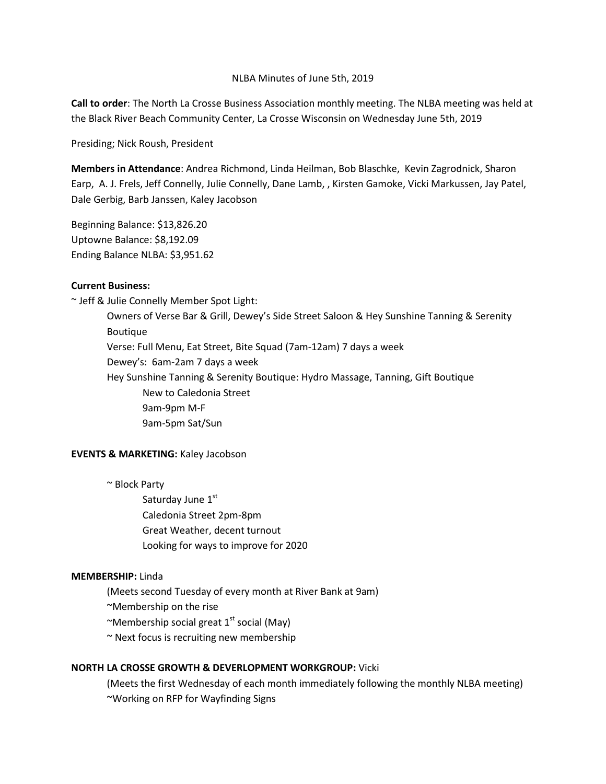#### NLBA Minutes of June 5th, 2019

**Call to order**: The North La Crosse Business Association monthly meeting. The NLBA meeting was held at the Black River Beach Community Center, La Crosse Wisconsin on Wednesday June 5th, 2019

Presiding; Nick Roush, President

**Members in Attendance**: Andrea Richmond, Linda Heilman, Bob Blaschke, Kevin Zagrodnick, Sharon Earp, A. J. Frels, Jeff Connelly, Julie Connelly, Dane Lamb, , Kirsten Gamoke, Vicki Markussen, Jay Patel, Dale Gerbig, Barb Janssen, Kaley Jacobson

Beginning Balance: \$13,826.20 Uptowne Balance: \$8,192.09 Ending Balance NLBA: \$3,951.62

# **Current Business:**

~ Jeff & Julie Connelly Member Spot Light: Owners of Verse Bar & Grill, Dewey's Side Street Saloon & Hey Sunshine Tanning & Serenity Boutique Verse: Full Menu, Eat Street, Bite Squad (7am-12am) 7 days a week Dewey's: 6am-2am 7 days a week Hey Sunshine Tanning & Serenity Boutique: Hydro Massage, Tanning, Gift Boutique New to Caledonia Street 9am-9pm M-F 9am-5pm Sat/Sun

# **EVENTS & MARKETING:** Kaley Jacobson

~ Block Party

Saturday June 1st Caledonia Street 2pm-8pm Great Weather, decent turnout Looking for ways to improve for 2020

#### **MEMBERSHIP:** Linda

(Meets second Tuesday of every month at River Bank at 9am)

~Membership on the rise

~Membership social great  $1<sup>st</sup>$  social (May)

~ Next focus is recruiting new membership

#### **NORTH LA CROSSE GROWTH & DEVERLOPMENT WORKGROUP:** Vicki

(Meets the first Wednesday of each month immediately following the monthly NLBA meeting) ~Working on RFP for Wayfinding Signs